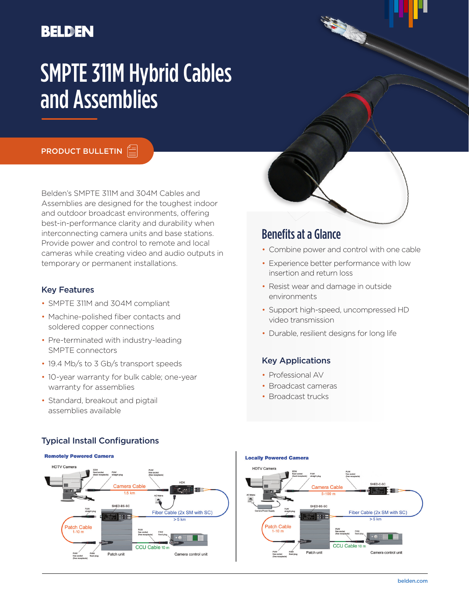# **BELDEN**

# SMPTE 311M Hybrid Cables and Assemblies

**PRODUCT BULLETIN** 

Belden's SMPTE 311M and 304M Cables and Assemblies are designed for the toughest indoor and outdoor broadcast environments, offering best-in-performance clarity and durability when interconnecting camera units and base stations. Provide power and control to remote and local cameras while creating video and audio outputs in temporary or permanent installations.

#### Key Features

- SMPTE 311M and 304M compliant
- Machine-polished fiber contacts and soldered copper connections
- Pre-terminated with industry-leading SMPTE connectors
- 19.4 Mb/s to 3 Gb/s transport speeds
- 10-year warranty for bulk cable; one-year warranty for assemblies
- Standard, breakout and pigtail assemblies available

Typical Install Configurations

# Benefits at a Glance

- Combine power and control with one cable
- Experience better performance with low insertion and return loss
- Resist wear and damage in outside environments
- Support high-speed, uncompressed HD video transmission
- Durable, resilient designs for long life

#### Key Applications

- Professional AV
- Broadcast cameras
- Broadcast trucks



# **Locally Powered Camera**

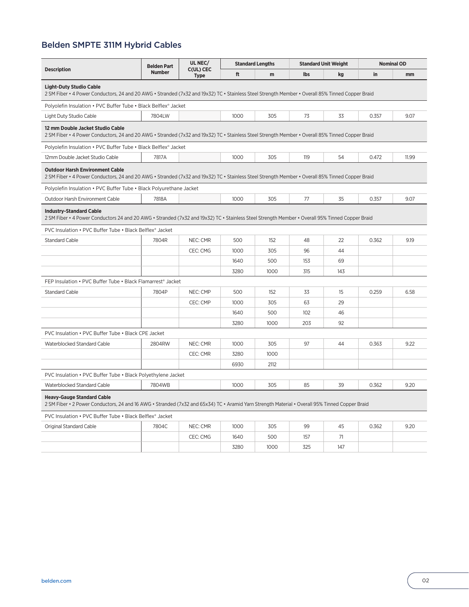## Belden SMPTE 311M Hybrid Cables

| <b>Description</b>                                                                                                                                                                          | <b>Belden Part</b><br><b>Number</b> | UL NEC/<br>C(UL) CEC<br><b>Type</b> | <b>Standard Lengths</b> |      | <b>Standard Unit Weight</b> |     | <b>Nominal OD</b> |       |  |  |  |  |
|---------------------------------------------------------------------------------------------------------------------------------------------------------------------------------------------|-------------------------------------|-------------------------------------|-------------------------|------|-----------------------------|-----|-------------------|-------|--|--|--|--|
|                                                                                                                                                                                             |                                     |                                     | ft                      | m    | <b>lbs</b>                  | kg  | in                | mm    |  |  |  |  |
| <b>Light-Duty Studio Cable</b><br>2 SM Fiber • 4 Power Conductors, 24 and 20 AWG • Stranded (7x32 and 19x32) TC • Stainless Steel Strength Member • Overall 85% Tinned Copper Braid         |                                     |                                     |                         |      |                             |     |                   |       |  |  |  |  |
| Polyolefin Insulation • PVC Buffer Tube • Black Belflex® Jacket                                                                                                                             |                                     |                                     |                         |      |                             |     |                   |       |  |  |  |  |
| Light Duty Studio Cable                                                                                                                                                                     | 7804LW                              |                                     | 1000                    | 305  | 73                          | 33  | 0.357             | 9.07  |  |  |  |  |
| 12 mm Double Jacket Studio Cable<br>2 SM Fiber • 4 Power Conductors, 24 and 20 AWG • Stranded (7x32 and 19x32) TC • Stainless Steel Strength Member • Overall 85% Tinned Copper Braid       |                                     |                                     |                         |      |                             |     |                   |       |  |  |  |  |
| Polyolefin Insulation • PVC Buffer Tube • Black Belflex® Jacket                                                                                                                             |                                     |                                     |                         |      |                             |     |                   |       |  |  |  |  |
| 12mm Double Jacket Studio Cable                                                                                                                                                             | 7817A                               |                                     | 1000                    | 305  | 119                         | 54  | 0.472             | 11.99 |  |  |  |  |
| <b>Outdoor Harsh Environment Cable</b><br>2 SM Fiber • 4 Power Conductors, 24 and 20 AWG • Stranded (7x32 and 19x32) TC • Stainless Steel Strength Member • Overall 85% Tinned Copper Braid |                                     |                                     |                         |      |                             |     |                   |       |  |  |  |  |
| Polyolefin Insulation • PVC Buffer Tube • Black Polyurethane Jacket                                                                                                                         |                                     |                                     |                         |      |                             |     |                   |       |  |  |  |  |
| Outdoor Harsh Environment Cable                                                                                                                                                             | 7818A                               |                                     | 1000                    | 305  | 77                          | 35  | 0.357             | 9.07  |  |  |  |  |
| <b>Industry-Standard Cable</b><br>2 SM Fiber • 4 Power Conductors 24 and 20 AWG • Stranded (7x32 and 19x32) TC • Stainless Steel Strength Member • Overall 95% Tinned Copper Braid          |                                     |                                     |                         |      |                             |     |                   |       |  |  |  |  |
| PVC Insulation . PVC Buffer Tube . Black Belflex® Jacket                                                                                                                                    |                                     |                                     |                         |      |                             |     |                   |       |  |  |  |  |
| <b>Standard Cable</b>                                                                                                                                                                       | 7804R                               | NEC: CMR                            | 500                     | 152  | 48                          | 22  | 0.362             | 9.19  |  |  |  |  |
|                                                                                                                                                                                             |                                     | CEC: CMG                            | 1000                    | 305  | 96                          | 44  |                   |       |  |  |  |  |
|                                                                                                                                                                                             |                                     |                                     | 1640                    | 500  | 153                         | 69  |                   |       |  |  |  |  |
|                                                                                                                                                                                             |                                     |                                     | 3280                    | 1000 | 315                         | 143 |                   |       |  |  |  |  |
| FEP Insulation • PVC Buffer Tube • Black Flamarrest® Jacket                                                                                                                                 |                                     |                                     |                         |      |                             |     |                   |       |  |  |  |  |
| <b>Standard Cable</b>                                                                                                                                                                       | 7804P                               | NEC: CMP                            | 500                     | 152  | 33                          | 15  | 0.259             | 6.58  |  |  |  |  |
|                                                                                                                                                                                             |                                     | CEC: CMP                            | 1000                    | 305  | 63                          | 29  |                   |       |  |  |  |  |
|                                                                                                                                                                                             |                                     |                                     | 1640                    | 500  | 102                         | 46  |                   |       |  |  |  |  |
|                                                                                                                                                                                             |                                     |                                     | 3280                    | 1000 | 203                         | 92  |                   |       |  |  |  |  |
| PVC Insulation • PVC Buffer Tube • Black CPE Jacket                                                                                                                                         |                                     |                                     |                         |      |                             |     |                   |       |  |  |  |  |
| Waterblocked Standard Cable                                                                                                                                                                 | 2804RW                              | NEC: CMR                            | 1000                    | 305  | 97                          | 44  | 0.363             | 9.22  |  |  |  |  |
|                                                                                                                                                                                             |                                     | CEC: CMR                            | 3280                    | 1000 |                             |     |                   |       |  |  |  |  |
|                                                                                                                                                                                             |                                     |                                     | 6930                    | 2112 |                             |     |                   |       |  |  |  |  |
| PVC Insulation . PVC Buffer Tube . Black Polyethylene Jacket                                                                                                                                |                                     |                                     |                         |      |                             |     |                   |       |  |  |  |  |
| Waterblocked Standard Cable                                                                                                                                                                 | 7804WB                              |                                     | 1000                    | 305  | 85                          | 39  | 0.362             | 9.20  |  |  |  |  |
| <b>Heavy-Gauge Standard Cable</b><br>2 SM Fiber • 2 Power Conductors, 24 and 16 AWG • Stranded (7x32 and 65x34) TC • Aramid Yarn Strength Material • Overall 95% Tinned Copper Braid        |                                     |                                     |                         |      |                             |     |                   |       |  |  |  |  |
| PVC Insulation • PVC Buffer Tube • Black Belflex® Jacket                                                                                                                                    |                                     |                                     |                         |      |                             |     |                   |       |  |  |  |  |
| Original Standard Cable                                                                                                                                                                     | 7804C                               | NEC: CMR                            | 1000                    | 305  | 99                          | 45  | 0.362             | 9.20  |  |  |  |  |
|                                                                                                                                                                                             |                                     | CEC: CMG                            | 1640                    | 500  | 157                         | 71  |                   |       |  |  |  |  |

3280 1000 325 147